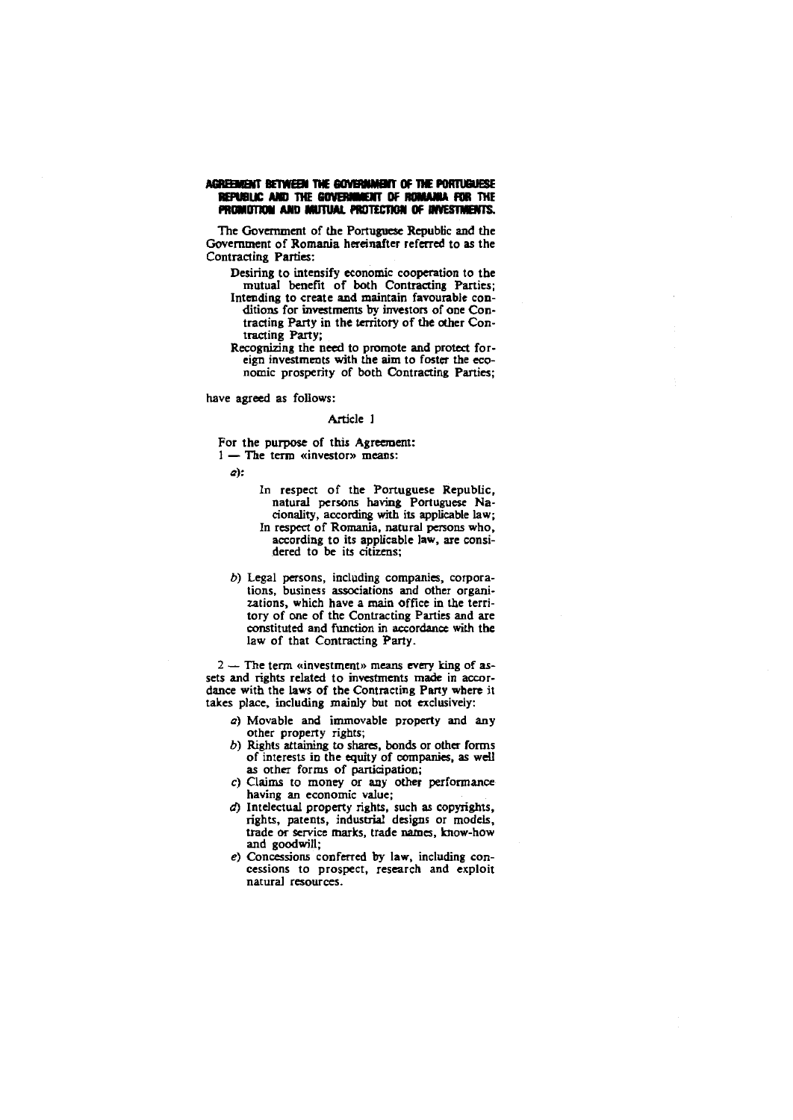# AGREEMENT BETWEEN THE GOVERNMENT OF THE PORTUGUESE REPUBLIC AND THE GOVERNMENT OF ROMANIA FOR THE PROMOTION AND MUTUAL PROTECTION OF INVESTMENTS.

The Government of the Portuguese Republic and the Government of Romania hereinafter referred to as the **Contracting Parties:** 

- Desiring to intensify economic cooperation to the mutual benefit of both Contracting Parties; Intending to create and maintain favourable conditions for investments by investors of one Contracting Party in the territory of the other Contracting Party;
- Recognizing the need to promote and protect foreign investments with the aim to foster the economic prosperity of both Contracting Parties;

have agreed as follows:

# Article 1

For the purpose of this Agreement:

 $1 -$  The term «investor» means:

a):

- In respect of the Portuguese Republic. natural persons having Portuguese Nacionality, according with its applicable law; In respect of Romania, natural persons who, according to its applicable law, are considered to be its citizens;
- b) Legal persons, including companies, corporations, business associations and other organizations, which have a main office in the territory of one of the Contracting Parties and are constituted and function in accordance with the law of that Contracting Party.

 $2-$  The term «investment» means every king of assets and rights related to investments made in accordance with the laws of the Contracting Party where it takes place, including mainly but not exclusively:

- a) Movable and immovable property and any other property rights;
- b) Rights attaining to shares, bonds or other forms of interests in the equity of companies, as well as other forms of participation;
- c) Claims to money or any other performance having an economic value;
- d) Intelectual property rights, such as copyrights, rights, patents, industrial designs or models, trade or service marks, trade names, know-how and goodwill;
- $e$ ) Concessions conferred by law, including concessions to prospect, research and exploit natural resources.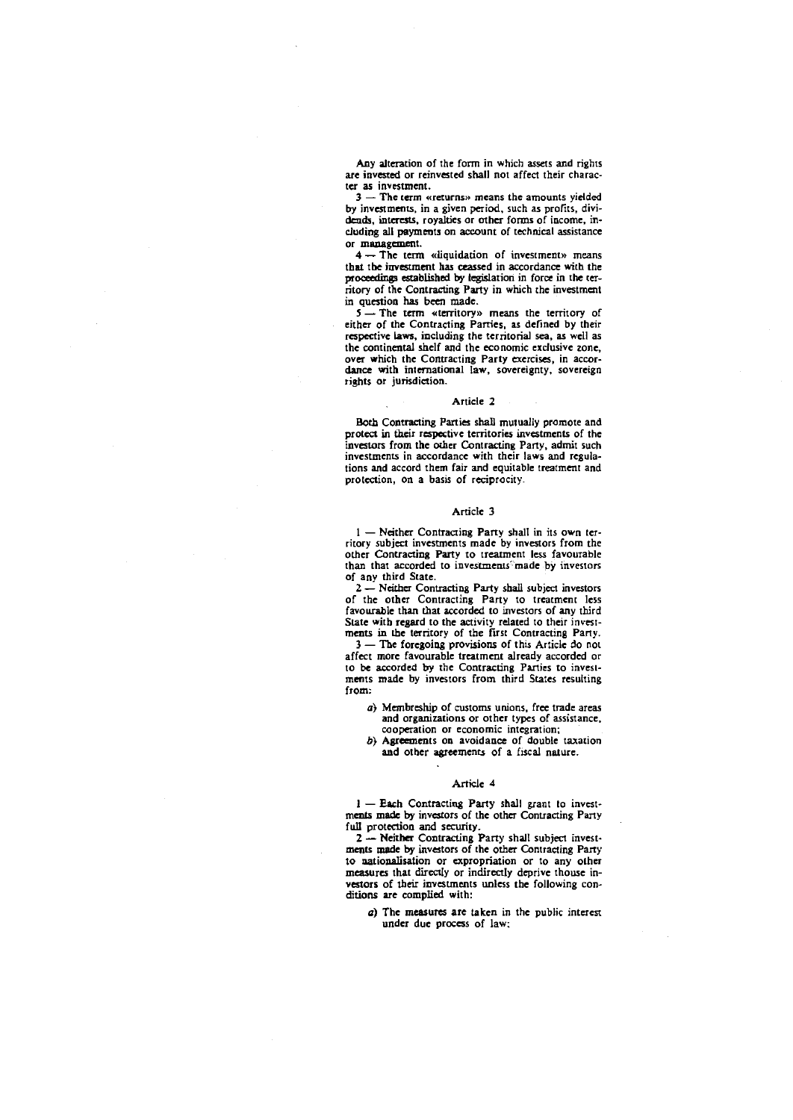Any alteration of the form in which assets and rights are invested or reinvested shall not affect their character as investment.

3 - **The term «returns») means the amounts yielded**  by investments, in a given period, such as profits, dividends, interests, royalties or other forms of income, including all payments on account of technical assistance or management.

4 **- The term «liquidation of i.nvestment» means**  tbat tbe investment has ceassed in accordance with the proceedings established by legislation in force in the territory of the Contracting Party in which the investment in question has been made.

 $5-$  The term «territory» means the territory of either of the Contracting Panies, as defined by their respective laws, including the territorial sea, as well as the continental shelf and the economic exclusive zone, over which the Contracting Party exercises, in accordance with international law, sovereignty, sovereign **rights or jUrisdiction.** 

## Article 2

Both Contracting Parties shall mutually promote and protect in their respective territories investments of the investors from the other Contracting Party, admit such **investments in accordance with their laws and regula**tions and accord them fair and equitable treatment and **protection, on a basis of reciprocity\_** 

## Article 3

 $1 -$  Neither Contracting Party shall in its own territory subject investments made by investors from the other Contracting Party to treatment less favourable than that accorded to investments<sup>o</sup> made by investors of any third State.

2 - Neither Contracting Party shall subject investors of the other Contracting Party to treatment less favourable than that accorded to investors of any third State witb regard to the activity related to their invest-ments in the territory of the first Contracting Party\_

3 - The foregoing provisions of this Article do not affect more favourable treatment already accorded or to be accorded by the Contracting Parties to investments made by investors from third States resulting from:

- a} Membreship of customs unions, free trade areas **and organizations or other types of assistance, cooperation or economic integration;**
- b} Agreements on avoidance of double taxation and other agreements of a fiscal nature.

#### Article 4

1 - Each Contracting Party shall grant to investments made by investors of the other Contracting Party full protection and security.

2 - Neither Contracting Party shall subject investments made by investors of the other Contracting Party to nationalisation or expropriation or to any other measures that directly or indirectly deprive thouse investors of their investments unless tbe following conditions are complied with:

a) The measures are taken in the public interest under due process of law;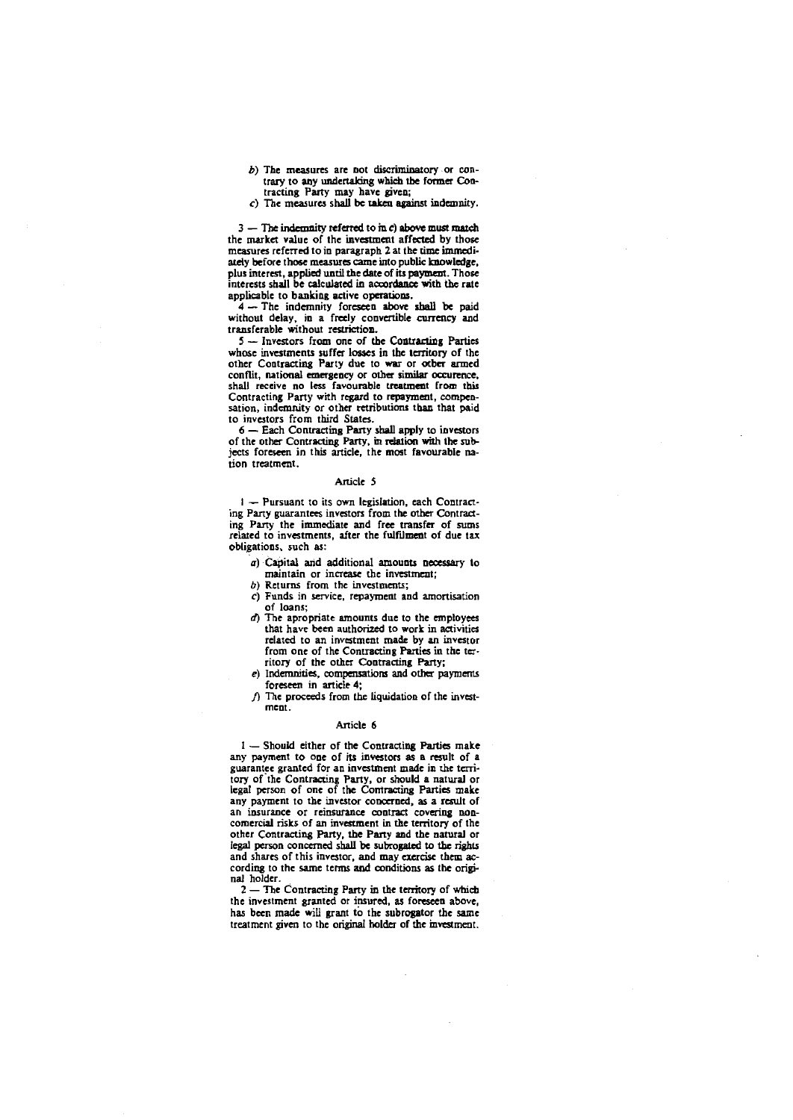- $b$ ) The measures are not discriminatory or contrary to any undertaking which the former Con-tracting Party may haye giyen;
- c) The measures shall be taken agaimt indemnity.

 $3$  - The indemnity referred to in c) above must match the market yalue of the investment affected by those measures referred to in paragraph 2 at the time immediately before those measures came into public knowledge, plus interest, applied until the date of its payment. Those interests shall be calculated in accordance with the rate applicable to banking active operations.

4 - The indemnity foreseen above shall be paid without delay, in a freely conyertible currency and transferable without restriction.

5 - Investors from one of the Contracting Parties whose investments suffer losses in the territory of the other Contracting Party due to war or ocber armed conflit, national emergency or other similar occurence, shall receive no less favourable treatment from this Contracting Party with regard to repayment, compensation, indemnity or other retributions than that paid to investors from third States.

 $6 -$  Each Contracting Party shall apply to investors of the other Contracting Party, in relation with the subjccts foreseen in this article. the most fayourable na**tion treatment.** 

### Article 5

 $I -$  Pursuant to its own legislation, each Contracting Party guarantees inyestors from the other Contracting Party the immediate and free transfer of sums related to inyestments. after the fulmmcnt of due tax obligations, such as:

- a) Capital and additional amounts necessary to **maintain or increase the investmeut;**
- b) Returns from the investments;
- c) Funds in service. repayment and amortisation of loans;
- *d*) The apropriate amounts due to the employees that have been authorized to work in activities related to an investment made by an investor from one of the Contracting Parties in the territory of the other Contracting Patty;
- e) Indemnities, compensations and other paymcms foreseen in article 4;
- $j$ ) The proceeds from the liquidation of the invest**ment.**

## Anicle 6

 $1$  - Should either of the Contracting Parties make any payment to one of its investors as a result of a guarantee granted for an investment made in the territory of the Contracting Party, or should a natural or legal person of one of the Contracting Parties make any payment to the investor concerned, as a result of an insurance or reinsurance contract covering noncomercial risks of an investment in the territory of the other Contracting Patty, the Party and the natural or legal person concerned shall be subrogated to the rights and shares of this investor, and may exercise them according to the same terms and conditions as the original holder.

2 - The Contracting Party in the territory of which **the investment granted or insured. as foreseen above.**  has been made will grant to the subrogator the same treatment given to the original holder of the investment.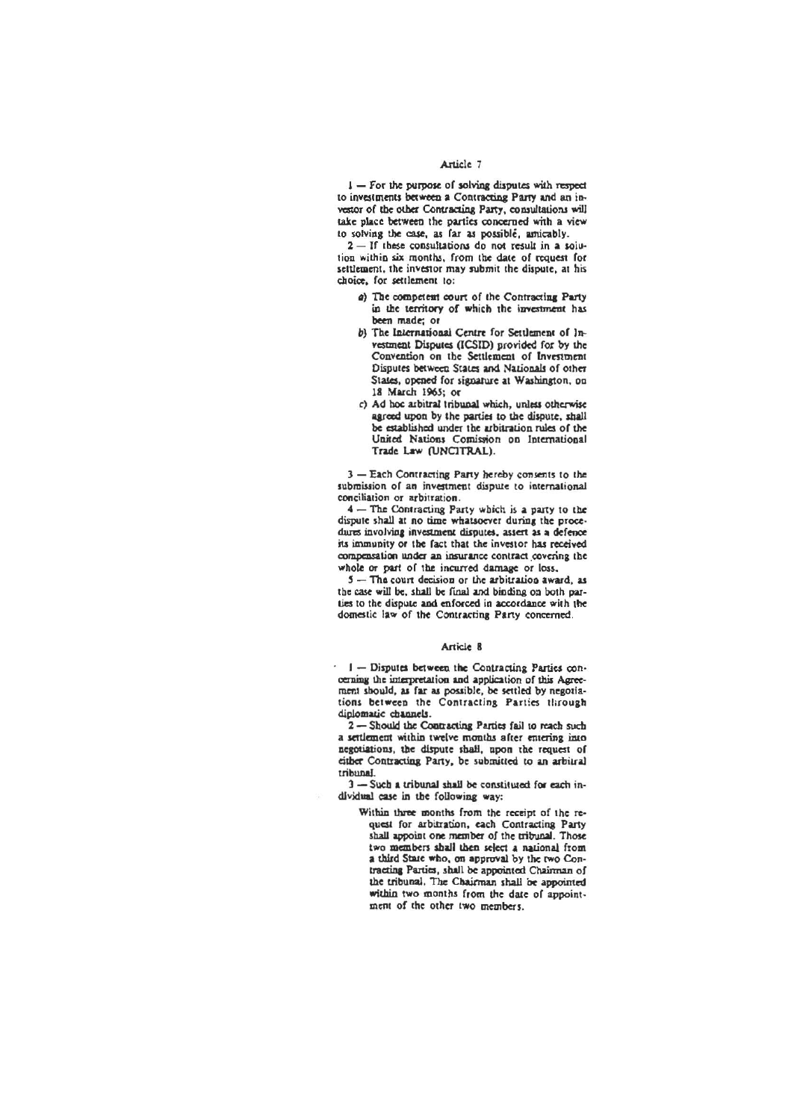# Article 7

I - For the purpose of solving disputes with respect to investments between a Contracting Party and an investor of the other Contracting Party, consultations will take place between the parties concerned with a view to solving the case, as far as possible, amicably.

2-If these consultations do not result in a solution within six months, from the date of request for settlement, the investor may submit the dispute, at his choice, for settlement to:

- a) The competent court of the Contracting Party in the territory of which the investment has been made; or
- b) The International Centre for Settlement of Investment Disputes (ICSID) provided for by the Convention on the Settlement of Investment Disputes between States and Nationals of other States, opened for signature at Washington, on 18 March 1965; or
- c) Ad hoc arbitral tribunal which, unless otherwise agreed upon by the parties to the dispute, shall be established under the arbitration rules of the United Nations Comission on International Trade Law (UNCITRAL).

3 - Each Contracting Party hereby consents to the submission of an investment dispute to international conciliation or arbitration.

4 - The Contracting Party which is a party to the dispute shall at no time whatsoever during the procedures involving investment disputes, assert as a defence its immunity or the fact that the investor has received compensation under an insurance contract covering the whole or part of the incurred damage or loss.

5 - The court decision or the arbitration award, as the case will be, shall be final and binding on both parties to the dispute and enforced in accordance with the domestic law of the Contracting Party concerned.

#### Article 8

I- Disputes between the Contracting Parties concerning the interpretation and application of this Agreement should, as far as possible, be settled by negotiations between the Contracting Parties through diplomatic channels.

2-Should the Contracting Parties fail to reach such a settlement within twelve months after entering into negotiations, the dispute shall, upon the request of either Contracting Party, be submitted to an arbitral tribunal.

3-Such a tribunal shall be constituted for each individual case in the following way:

> Within three months from the receipt of the request for arbitration, each Contracting Party shall appoint one member of the tribunal. Those two members shall then select a national from a third State who, on approval by the two Contracting Parties, shall be appointed Chairman of the tribunal. The Chairman shall be appointed within two months from the date of appointment of the other two members.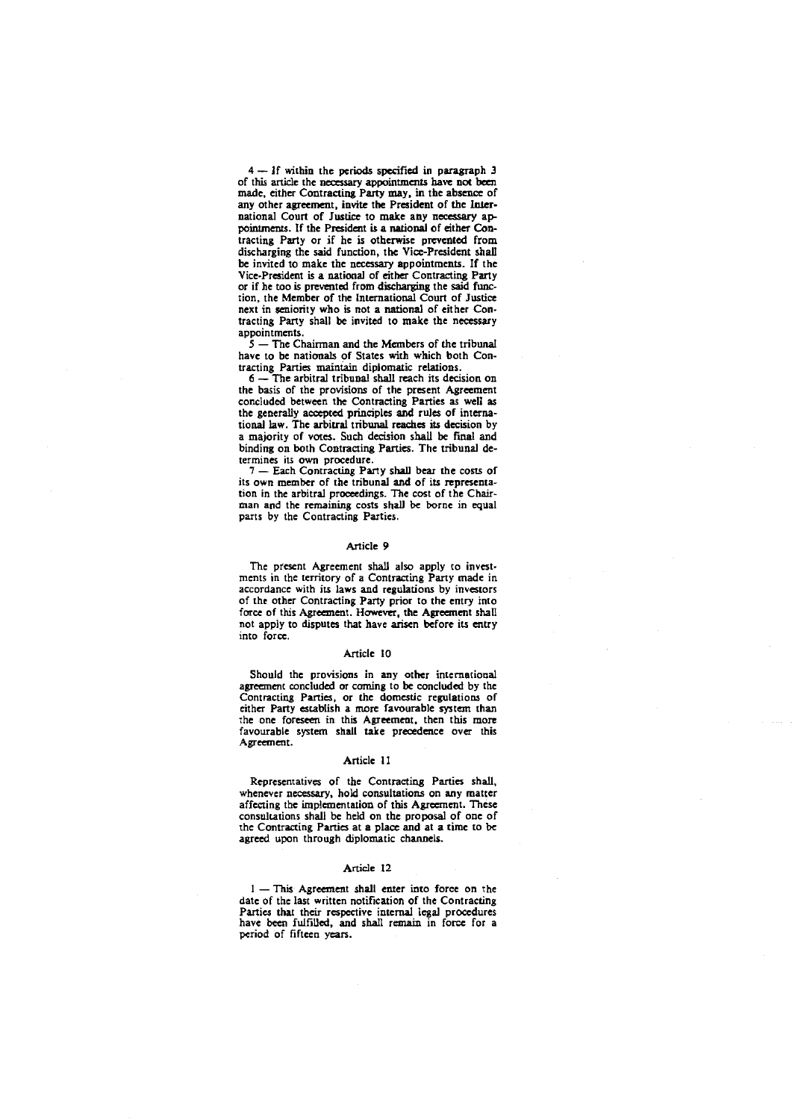4 - If within the periods specified in paragraph 3 of this article the necessary appointments have not been made, either Contracting Party may, in the absence of any other agreement, invite the President of the International Court of Justice to make any necessary appointments. If the President is a national of either Contracting Party or if he is otberwise prevenled from discharging the said function, the Vice-President shall be invited to make the necessary appointments. If the Vice-President is a national of either Contracting Party or if he too is prevented from discharging the said function, the Member of the International Court of Justice next in seniority who is not a national of either Contracting Party shall be invited to make tbe necessary appointments.

 $\dot{5}$  – The Chairman and the Members of the tribunal have to be nationals of States with which both Contracting Panies maintain diplomalic relations.

 $6 -$  The arbitral tribunal shall reach its decision on the basis of the provisions of the present Agreement concluded between the Contracting Parties as well as the generally accepted principles and rules of international law. The arbitral tribunal reaches *its* decision by a majority of votes. Such decision shall be final and binding on both Contracting Parties. The tribunal de**termines its own procedure.** 

7 - Each Contracting Party shall bear the costs of its own member of the tribunal and of *its* representation in the arbitral proceedings. The cost of the Chairman and the remaining costs shall be borne in equal pans by the Contracting Parties.

## Article 9

The present Agreement shall also apply to investments in the territory of a Contracting Party made in accordance with its laws and regulations by investors of the other Contracting Party prior to the entry into force of this Agreement. However, the Agreement shall not apply to disputes that have arisen before its entry **into force.** 

# Article 10

Should the provisions in any other international agreement concluded or earning to be concluded by the Contracting Parties, or the domestic regulations of either Party establish a more favourable system than the one foreseen in this Agreement, then this more favourable system shall take precedence over this Agreement.

### Article 11

Representatives of the Contracting Parties shall, whenever necessary, hold consultations on any matter affecting the implementation of this Agreement. These consultations shall be held on the proposal of one of the Contracting Parties at a place and at a time to be agreed upon through diplomatic channels.

#### Article 12

 $1 -$ This Agreement shall enter into force on the date of the last written notification of the Contracting Panies that their respective intemal legal procedures have been fulfilled, and shall remain in force for a period of fifteen years.